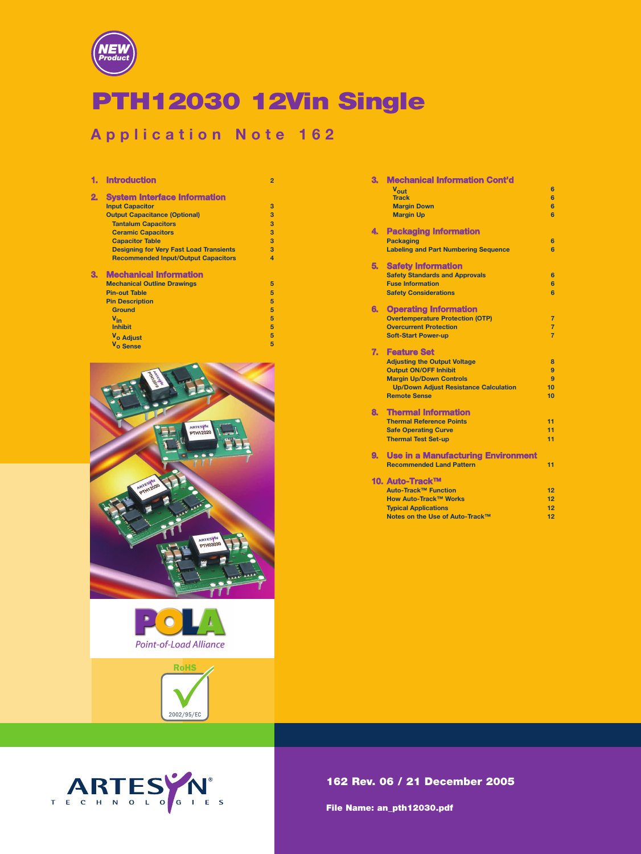

# PTH12030 12Vin Single

# **Application Note 162**

|    | <b>Introduction</b>                            | $\overline{2}$ |
|----|------------------------------------------------|----------------|
| 2. | <b>System Interface Information</b>            |                |
|    | <b>Input Capacitor</b>                         | 3              |
|    | <b>Output Capacitance (Optional)</b>           | 3              |
|    | <b>Tantalum Capacitors</b>                     | 3              |
|    | <b>Ceramic Capacitors</b>                      | 3              |
|    | <b>Capacitor Table</b>                         | 3              |
|    | <b>Designing for Very Fast Load Transients</b> | 3              |
|    | <b>Recommended Input/Output Capacitors</b>     | $\overline{a}$ |
| З. | <b>Mechanical Information</b>                  |                |
|    | <b>Mechanical Outline Drawings</b>             | 5              |
|    | <b>Pin-out Table</b>                           | 5              |
|    | <b>Pin Description</b>                         | 5              |
|    | <b>Ground</b>                                  | 5              |
|    | $V_{in}$                                       | 5              |
|    | <b>Inhibit</b>                                 | 5              |
|    | V <sub>o</sub> Adjust                          | 5              |
|    | V <sub>o</sub> Sense                           | 5              |







| З.   | Mechanical Information Cont'd                |                |
|------|----------------------------------------------|----------------|
|      | Vout                                         | 6              |
|      | <b>Track</b>                                 | 6              |
|      | <b>Margin Down</b>                           | 6              |
|      | <b>Margin Up</b>                             | 6              |
| 4.   | <b>Packaging Information</b>                 |                |
|      | <b>Packaging</b>                             | 6              |
|      | <b>Labeling and Part Numbering Sequence</b>  | 6              |
| 5.   | <b>Safety Information</b>                    |                |
|      | <b>Safety Standards and Approvals</b>        | 6              |
|      | <b>Fuse Information</b>                      | 6              |
|      | <b>Safety Considerations</b>                 | 6              |
| 6. . | <b>Operating Information</b>                 |                |
|      | <b>Overtemperature Protection (OTP)</b>      | $\overline{7}$ |
|      | <b>Overcurrent Protection</b>                | $\overline{7}$ |
|      | <b>Soft-Start Power-up</b>                   | $\overline{7}$ |
| 7.   | <b>Feature Set</b>                           |                |
|      | <b>Adjusting the Output Voltage</b>          | 8              |
|      | <b>Output ON/OFF Inhibit</b>                 | 9              |
|      | <b>Margin Up/Down Controls</b>               | $\mathbf{Q}$   |
|      | <b>Up/Down Adjust Resistance Calculation</b> | 10             |
|      | <b>Remote Sense</b>                          | 10             |
| 8.   | <b>Thermal Information</b>                   |                |
|      | <b>Thermal Reference Points</b>              | 11             |
|      | <b>Safe Operating Curve</b>                  | 11             |
|      | <b>Thermal Test Set-up</b>                   | 11             |
| 9.   | <b>Use in a Manufacturing Environment</b>    |                |
|      | <b>Recommended Land Pattern</b>              | 11             |
|      | 10. Auto-Track™                              |                |
|      | Auto-Track™ Function                         | 12             |
|      | How Auto-Track™ Works                        | 12             |
|      | <b>Typical Applications</b>                  | 12             |
|      | Notes on the Use of Auto-Track™              | 12             |

# 162 Rev. 06 / 21 December 2005

File Name: an\_pth12030.pdf

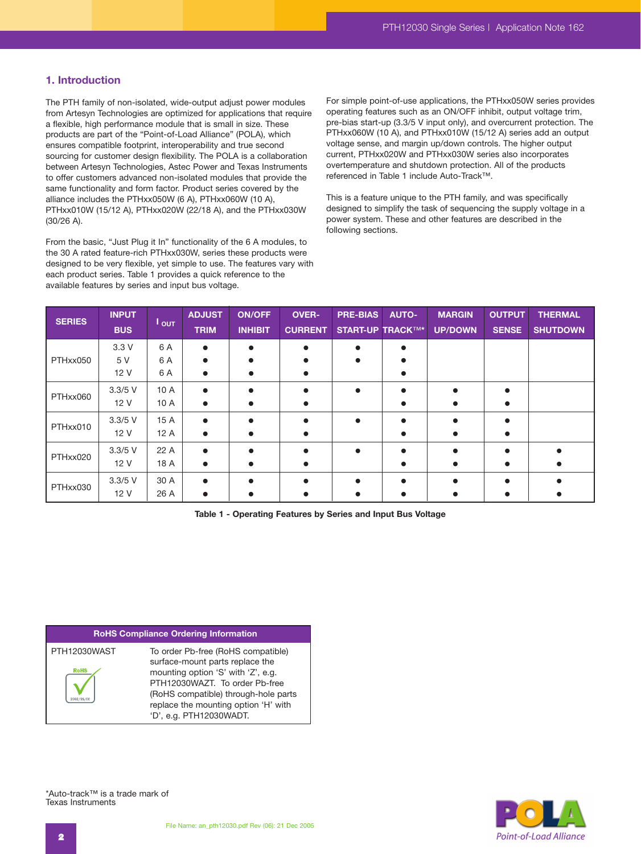# **1. Introduction**

The PTH family of non-isolated, wide-output adjust power modules from Artesyn Technologies are optimized for applications that require a flexible, high performance module that is small in size. These products are part of the "Point-of-Load Alliance" (POLA), which ensures compatible footprint, interoperability and true second sourcing for customer design flexibility. The POLA is a collaboration between Artesyn Technologies, Astec Power and Texas Instruments to offer customers advanced non-isolated modules that provide the same functionality and form factor. Product series covered by the alliance includes the PTHxx050W (6 A), PTHxx060W (10 A), PTHxx010W (15/12 A), PTHxx020W (22/18 A), and the PTHxx030W (30/26 A).

From the basic, "Just Plug it In" functionality of the 6 A modules, to the 30 A rated feature-rich PTHxx030W, series these products were designed to be very flexible, yet simple to use. The features vary with each product series. Table 1 provides a quick reference to the available features by series and input bus voltage.

For simple point-of-use applications, the PTHxx050W series provides operating features such as an ON/OFF inhibit, output voltage trim, pre-bias start-up (3.3/5 V input only), and overcurrent protection. The PTHxx060W (10 A), and PTHxx010W (15/12 A) series add an output voltage sense, and margin up/down controls. The higher output current, PTHxx020W and PTHxx030W series also incorporates overtemperature and shutdown protection. All of the products referenced in Table 1 include Auto-Track™.

This is a feature unique to the PTH family, and was specifically designed to simplify the task of sequencing the supply voltage in a power system. These and other features are described in the following sections.

| <b>SERIES</b> | <b>INPUT</b><br><b>BUS</b> | $I_{\text{OUT}}$ | <b>ADJUST</b><br><b>TRIM</b> | <b>ON/OFF</b><br><b>INHIBIT</b> | <b>OVER-</b><br><b>CURRENT</b> | <b>PRE-BIAS</b><br><b>START-UP TRACKTM*</b> | <b>AUTO-</b> | <b>MARGIN</b><br><b>UP/DOWN</b> | <b>OUTPUT</b><br><b>SENSE</b> | <b>THERMAL</b><br><b>SHUTDOWN</b> |
|---------------|----------------------------|------------------|------------------------------|---------------------------------|--------------------------------|---------------------------------------------|--------------|---------------------------------|-------------------------------|-----------------------------------|
|               | 3.3V                       | 6 A              |                              |                                 |                                |                                             |              |                                 |                               |                                   |
| PTHxx050      | 5 V                        | 6 A              |                              |                                 |                                |                                             |              |                                 |                               |                                   |
|               | 12 V                       | 6 A              |                              |                                 |                                |                                             |              |                                 |                               |                                   |
| PTHxx060      | $3.3/5$ V                  | 10 A             |                              |                                 |                                |                                             |              |                                 |                               |                                   |
|               | 12 V                       | 10 A             |                              |                                 |                                |                                             |              |                                 |                               |                                   |
| PTHxx010      | $3.3/5$ V                  | 15A              |                              |                                 |                                | $\bullet$                                   |              |                                 |                               |                                   |
|               | 12 V                       | 12A              |                              |                                 |                                |                                             |              |                                 |                               |                                   |
|               | $3.3/5$ V                  | 22 A             |                              |                                 |                                |                                             |              |                                 |                               |                                   |
| PTHxx020      | 12 V                       | 18 A             |                              |                                 |                                |                                             |              |                                 |                               |                                   |
| PTHxx030      | $3.3/5$ V                  | 30 A             |                              |                                 |                                |                                             |              |                                 |                               |                                   |
|               | 12 V                       | 26 A             |                              |                                 |                                |                                             |              |                                 |                               |                                   |

**Table 1 - Operating Features by Series and Input Bus Voltage**

### **RoHS Compliance Ordering Information**

| PTH12030WAST | To order Pb-free (RoHS compatible)   |
|--------------|--------------------------------------|
|              | surface-mount parts replace the      |
| <b>RoHS</b>  | mounting option 'S' with 'Z', e.g.   |
|              | PTH12030WAZT. To order Pb-free       |
|              | (RoHS compatible) through-hole part  |
|              | replace the mounting option 'H' with |
|              | 'D', e.g. PTH12030WADT.              |



\*Auto-track™ is a trade mark of Texas Instruments

parts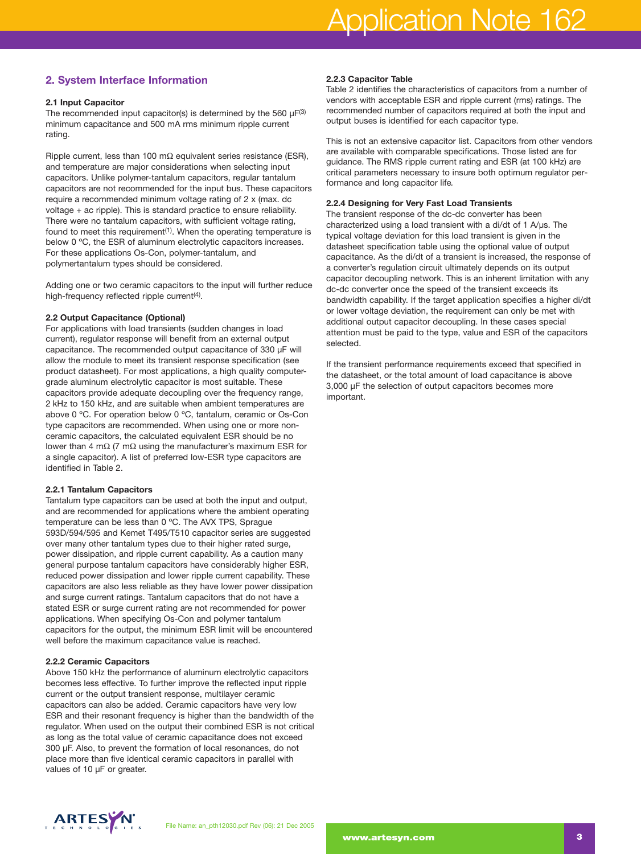# **2. System Interface Information**

# **2.1 Input Capacitor**

The recommended input capacitor(s) is determined by the 560  $\mu$ F(3) minimum capacitance and 500 mA rms minimum ripple current rating.

Ripple current, less than 100 m $\Omega$  equivalent series resistance (ESR), and temperature are major considerations when selecting input capacitors. Unlike polymer-tantalum capacitors, regular tantalum capacitors are not recommended for the input bus. These capacitors require a recommended minimum voltage rating of 2 x (max. dc voltage + ac ripple). This is standard practice to ensure reliability. There were no tantalum capacitors, with sufficient voltage rating, found to meet this requirement<sup>(1)</sup>. When the operating temperature is below 0 ºC, the ESR of aluminum electrolytic capacitors increases. For these applications Os-Con, polymer-tantalum, and polymertantalum types should be considered.

Adding one or two ceramic capacitors to the input will further reduce high-frequency reflected ripple current<sup>(4)</sup>.

# **2.2 Output Capacitance (Optional)**

For applications with load transients (sudden changes in load current), regulator response will benefit from an external output capacitance. The recommended output capacitance of 330 µF will allow the module to meet its transient response specification (see product datasheet). For most applications, a high quality computergrade aluminum electrolytic capacitor is most suitable. These capacitors provide adequate decoupling over the frequency range, 2 kHz to 150 kHz, and are suitable when ambient temperatures are above 0 ºC. For operation below 0 ºC, tantalum, ceramic or Os-Con type capacitors are recommended. When using one or more nonceramic capacitors, the calculated equivalent ESR should be no lower than 4 mΩ (7 mΩ using the manufacturer's maximum ESR for a single capacitor). A list of preferred low-ESR type capacitors are identified in Table 2.

### **2.2.1 Tantalum Capacitors**

Tantalum type capacitors can be used at both the input and output, and are recommended for applications where the ambient operating temperature can be less than 0 ºC. The AVX TPS, Sprague 593D/594/595 and Kemet T495/T510 capacitor series are suggested over many other tantalum types due to their higher rated surge, power dissipation, and ripple current capability. As a caution many general purpose tantalum capacitors have considerably higher ESR, reduced power dissipation and lower ripple current capability. These capacitors are also less reliable as they have lower power dissipation and surge current ratings. Tantalum capacitors that do not have a stated ESR or surge current rating are not recommended for power applications. When specifying Os-Con and polymer tantalum capacitors for the output, the minimum ESR limit will be encountered well before the maximum capacitance value is reached.

### **2.2.2 Ceramic Capacitors**

Above 150 kHz the performance of aluminum electrolytic capacitors becomes less effective. To further improve the reflected input ripple current or the output transient response, multilayer ceramic capacitors can also be added. Ceramic capacitors have very low ESR and their resonant frequency is higher than the bandwidth of the regulator. When used on the output their combined ESR is not critical as long as the total value of ceramic capacitance does not exceed 300 µF. Also, to prevent the formation of local resonances, do not place more than five identical ceramic capacitors in parallel with values of 10 µF or greater.

### **2.2.3 Capacitor Table**

Table 2 identifies the characteristics of capacitors from a number of vendors with acceptable ESR and ripple current (rms) ratings. The recommended number of capacitors required at both the input and output buses is identified for each capacitor type.

This is not an extensive capacitor list. Capacitors from other vendors are available with comparable specifications. Those listed are for guidance. The RMS ripple current rating and ESR (at 100 kHz) are critical parameters necessary to insure both optimum regulator performance and long capacitor life*.*

# **2.2.4 Designing for Very Fast Load Transients**

The transient response of the dc-dc converter has been characterized using a load transient with a di/dt of 1 A/µs. The typical voltage deviation for this load transient is given in the datasheet specification table using the optional value of output capacitance. As the di/dt of a transient is increased, the response of a converter's regulation circuit ultimately depends on its output capacitor decoupling network. This is an inherent limitation with any dc-dc converter once the speed of the transient exceeds its bandwidth capability. If the target application specifies a higher di/dt or lower voltage deviation, the requirement can only be met with additional output capacitor decoupling. In these cases special attention must be paid to the type, value and ESR of the capacitors selected.

If the transient performance requirements exceed that specified in the datasheet, or the total amount of load capacitance is above 3,000 µF the selection of output capacitors becomes more important.

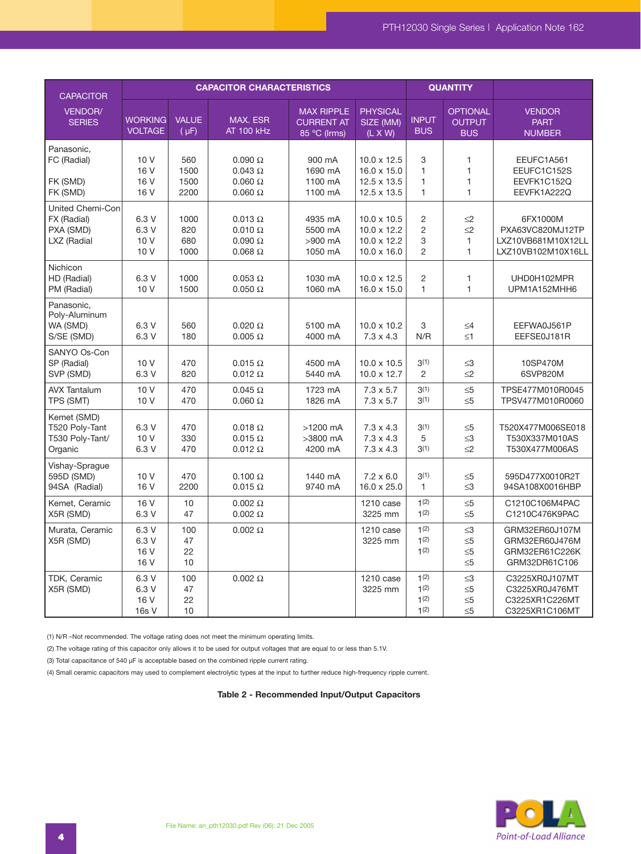| <b>CAPACITOR</b>                                            |                                  |                             | <b>CAPACITOR CHARACTERISTICS</b>                                      |                                                        |                                                                               |                                                   | <b>QUANTITY</b>                                              |                                                                          |
|-------------------------------------------------------------|----------------------------------|-----------------------------|-----------------------------------------------------------------------|--------------------------------------------------------|-------------------------------------------------------------------------------|---------------------------------------------------|--------------------------------------------------------------|--------------------------------------------------------------------------|
| VENDOR/<br><b>SERIES</b>                                    | <b>WORKING</b><br><b>VOLTAGE</b> | <b>VALUE</b><br>$(\mu F)$   | MAX. ESR<br><b>AT 100 kHz</b>                                         | <b>MAX RIPPLE</b><br><b>CURRENT AT</b><br>85 °C (Irms) | <b>PHYSICAL</b><br>SIZE (MM)<br>$(L \times W)$                                | <b>INPUT</b><br><b>BUS</b>                        | <b>OPTIONAL</b><br><b>OUTPUT</b><br><b>BUS</b>               | <b>VENDOR</b><br><b>PART</b><br><b>NUMBER</b>                            |
| Panasonic,<br>FC (Radial)<br>FK (SMD)<br>FK (SMD)           | 10 V<br>16 V<br>16 V<br>16 V     | 560<br>1500<br>1500<br>2200 | $0.090 \Omega$<br>$0.043 \Omega$<br>$0.060 \Omega$<br>$0.060\ \Omega$ | 900 mA<br>1690 mA<br>1100 mA<br>1100 mA                | $10.0 \times 12.5$<br>$16.0 \times 15.0$<br>12.5 x 13.5<br>12.5 x 13.5        | 3<br>$\mathbf{1}$<br>$\mathbf{1}$<br>$\mathbf{1}$ | $\mathbf{1}$<br>$\mathbf{1}$<br>$\mathbf{1}$<br>$\mathbf{1}$ | EEUFC1A561<br>EEUFC1C152S<br>EEVFK1C152Q<br>EEVFK1A222Q                  |
| United Chemi-Con<br>FX (Radial)<br>PXA (SMD)<br>LXZ (Radial | 6.3 V<br>6.3 V<br>10 V<br>10 V   | 1000<br>820<br>680<br>1000  | $0.013 \Omega$<br>$0.010 \Omega$<br>$0.090\ \Omega$<br>$0.068 \Omega$ | 4935 mA<br>5500 mA<br>>900 mA<br>1050 mA               | $10.0 \times 10.5$<br>$10.0 \times 12.2$<br>10.0 x 12.2<br>$10.0 \times 16.0$ | 2<br>$\overline{c}$<br>3<br>$\overline{2}$        | $\leq$ 2<br>$\leq$ 2<br>1<br>$\mathbf{1}$                    | 6FX1000M<br>PXA63VC820MJ12TP<br>LXZ10VB681M10X12LL<br>LXZ10VB102M10X16LL |
| Nichicon<br>HD (Radial)<br>PM (Radial)                      | 6.3 V<br>10 V                    | 1000<br>1500                | $0.053 \Omega$<br>$0.050 \Omega$                                      | 1030 mA<br>1060 mA                                     | $10.0 \times 12.5$<br>16.0 x 15.0                                             | 2<br>$\mathbf{1}$                                 | 1<br>$\mathbf{1}$                                            | UHD0H102MPR<br>UPM1A152MHH6                                              |
| Panasonic,<br>Poly-Aluminum<br>WA (SMD)<br>S/SE (SMD)       | 6.3 V<br>6.3 V                   | 560<br>180                  | $0.020 \Omega$<br>$0.005 \Omega$                                      | 5100 mA<br>4000 mA                                     | $10.0 \times 10.2$<br>$7.3 \times 4.3$                                        | 3<br>N/R                                          | $\leq 4$<br>$\leq 1$                                         | EEFWA0J561P<br>EEFSE0J181R                                               |
| SANYO Os-Con<br>SP (Radial)<br>SVP (SMD)                    | 10 V<br>6.3 V                    | 470<br>820                  | $0.015 \Omega$<br>$0.012 \Omega$                                      | 4500 mA<br>5440 mA                                     | $10.0 \times 10.5$<br>$10.0 \times 12.7$                                      | 3(1)<br>2                                         | $\leq$ 3<br>$\leq$ 2                                         | 10SP470M<br>6SVP820M                                                     |
| <b>AVX Tantalum</b><br>TPS (SMT)                            | 10 V<br>10 V                     | 470<br>470                  | $0.045 \Omega$<br>$0.060 \Omega$                                      | 1723 mA<br>1826 mA                                     | $7.3 \times 5.7$<br>$7.3 \times 5.7$                                          | 3(1)<br>3(1)                                      | $\leq 5$<br>$\leq 5$                                         | TPSE477M010R0045<br>TPSV477M010R0060                                     |
| Kemet (SMD)<br>T520 Poly-Tant<br>T530 Poly-Tant/<br>Organic | 6.3 V<br>10 V<br>6.3 V           | 470<br>330<br>470           | $0.018 \Omega$<br>$0.015 \Omega$<br>$0.012 \Omega$                    | >1200 mA<br>>3800 mA<br>4200 mA                        | $7.3 \times 4.3$<br>$7.3 \times 4.3$<br>$7.3 \times 4.3$                      | 3(1)<br>5<br>3(1)                                 | $\leq 5$<br>$\leq$ 3<br>$\leq$ 2                             | T520X477M006SE018<br>T530X337M010AS<br>T530X477M006AS                    |
| Vishay-Sprague<br>595D (SMD)<br>94SA (Radial)               | 10 V<br>16 V                     | 470<br>2200                 | $0.100 \Omega$<br>$0.015 \Omega$                                      | 1440 mA<br>9740 mA                                     | $7.2 \times 6.0$<br>16.0 x 25.0                                               | 3(1)<br>$\mathbf{1}$                              | $\leq 5$<br>$\leq$ 3                                         | 595D477X0010R2T<br>94SA108X0016HBP                                       |
| Kemet, Ceramic<br>X5R (SMD)                                 | 16 V<br>6.3 V                    | 10<br>47                    | $0.002 \Omega$<br>$0.002 \Omega$                                      |                                                        | 1210 case<br>3225 mm                                                          | 1(2)<br>1(2)                                      | $\leq 5$<br>$\leq 5$                                         | C1210C106M4PAC<br>C1210C476K9PAC                                         |
| Murata, Ceramic<br>X5R (SMD)                                | 6.3 V<br>6.3 V<br>16 V<br>16 V   | 100<br>47<br>22<br>10       | $0.002 \Omega$                                                        |                                                        | 1210 case<br>3225 mm                                                          | 1(2)<br>1(2)<br>1(2)                              | $\leq$ 3<br>$\leq 5$<br>$\leq 5$<br>$\leq 5$                 | GRM32ER60J107M<br>GRM32ER60J476M<br>GRM32ER61C226K<br>GRM32DR61C106      |
| TDK, Ceramic<br>X5R (SMD)                                   | 6.3 V<br>6.3 V<br>16 V<br>16s V  | 100<br>47<br>22<br>10       | $0.002 \Omega$                                                        |                                                        | 1210 case<br>3225 mm                                                          | 1(2)<br>1(2)<br>1(2)<br>1(2)                      | $\leq 3$<br>$\leq 5$<br>$\leq 5$<br>$\leq 5$                 | C3225XR0J107MT<br>C3225XR0J476MT<br>C3225XR1C226MT<br>C3225XR1C106MT     |

(1) N/R –Not recommended. The voltage rating does not meet the minimum operating limits.

(2) The voltage rating of this capacitor only allows it to be used for output voltages that are equal to or less than 5.1V.

(3) Total capacitance of 540 µF is acceptable based on the combined ripple current rating.

(4) Small ceramic capacitors may used to complement electrolytic types at the input to further reduce high-frequency ripple current.

**Table 2 - Recommended Input/Output Capacitors**

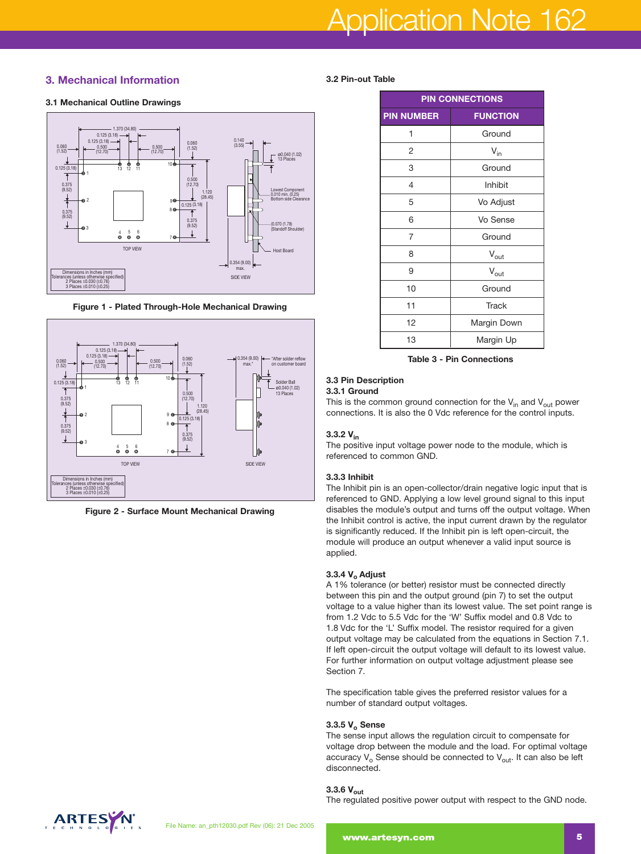# pplication Note 162

# **3. Mechanical Information**



**Figure 1 - Plated Through-Hole Mechanical Drawing**



**Figure 2 - Surface Mount Mechanical Drawing**

### **3.2 Pin-out Table**

| <b>PIN CONNECTIONS</b> |                  |  |  |  |
|------------------------|------------------|--|--|--|
| <b>PIN NUMBER</b>      | <b>FUNCTION</b>  |  |  |  |
| 1                      | Ground           |  |  |  |
| 2                      | $V_{in}$         |  |  |  |
| 3                      | Ground           |  |  |  |
| 4                      | Inhibit          |  |  |  |
| 5                      | Vo Adjust        |  |  |  |
| 6                      | Vo Sense         |  |  |  |
| 7                      | Ground           |  |  |  |
| 8                      | $V_{\text{out}}$ |  |  |  |
| 9                      | $V_{\text{out}}$ |  |  |  |
| 10                     | Ground           |  |  |  |
| 11                     | <b>Track</b>     |  |  |  |
| 12                     | Margin Down      |  |  |  |
| 13                     | Margin Up        |  |  |  |

**Table 3 - Pin Connections**

### **3.3 Pin Description**

### **3.3.1 Ground**

This is the common ground connection for the  $V_{in}$  and  $V_{out}$  power connections. It is also the 0 Vdc reference for the control inputs.

# **3.3.2 Vin**

The positive input voltage power node to the module, which is referenced to common GND.

### **3.3.3 Inhibit**

The Inhibit pin is an open-collector/drain negative logic input that is referenced to GND. Applying a low level ground signal to this input disables the module's output and turns off the output voltage. When the Inhibit control is active, the input current drawn by the regulator is significantly reduced. If the Inhibit pin is left open-circuit, the module will produce an output whenever a valid input source is applied.

### **3.3.4 V<sub>o</sub> Adjust**

A 1% tolerance (or better) resistor must be connected directly between this pin and the output ground (pin 7) to set the output voltage to a value higher than its lowest value. The set point range is from 1.2 Vdc to 5.5 Vdc for the 'W' Suffix model and 0.8 Vdc to 1.8 Vdc for the 'L' Suffix model. The resistor required for a given output voltage may be calculated from the equations in Section 7.1. If left open-circuit the output voltage will default to its lowest value. For further information on output voltage adjustment please see Section 7.

The specification table gives the preferred resistor values for a number of standard output voltages.

### **3.3.5 Vo Sense**

The sense input allows the regulation circuit to compensate for voltage drop between the module and the load. For optimal voltage accuracy  $V_0$  Sense should be connected to  $V_{\text{out}}$ . It can also be left disconnected.

# **3.3.6 Vout**

The regulated positive power output with respect to the GND node.

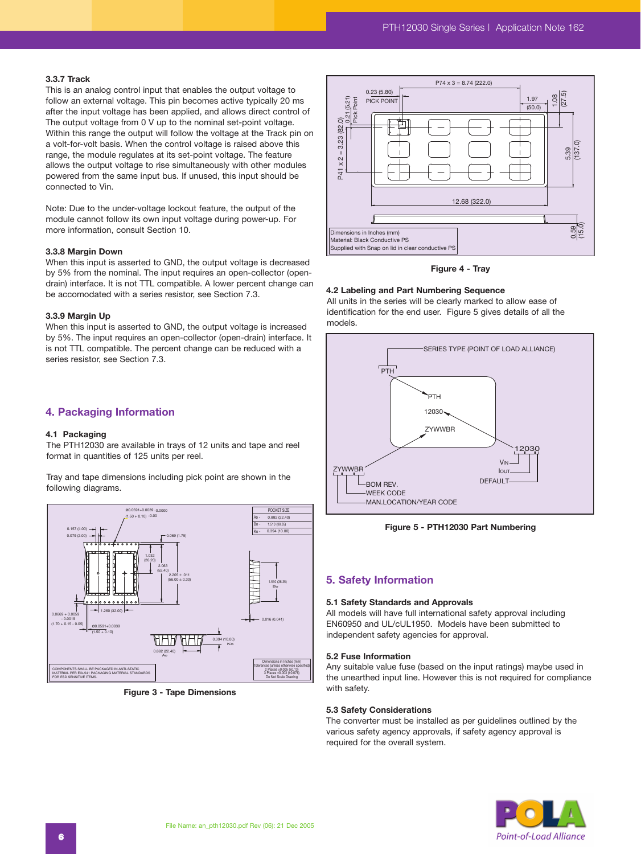### **3.3.7 Track**

This is an analog control input that enables the output voltage to follow an external voltage. This pin becomes active typically 20 ms after the input voltage has been applied, and allows direct control of The output voltage from 0 V up to the nominal set-point voltage. Within this range the output will follow the voltage at the Track pin on a volt-for-volt basis. When the control voltage is raised above this range, the module regulates at its set-point voltage. The feature allows the output voltage to rise simultaneously with other modules powered from the same input bus. If unused, this input should be connected to Vin.

Note: Due to the under-voltage lockout feature, the output of the module cannot follow its own input voltage during power-up. For more information, consult Section 10.

### **3.3.8 Margin Down**

When this input is asserted to GND, the output voltage is decreased by 5% from the nominal. The input requires an open-collector (opendrain) interface. It is not TTL compatible. A lower percent change can be accomodated with a series resistor, see Section 7.3.

### **3.3.9 Margin Up**

When this input is asserted to GND, the output voltage is increased by 5%. The input requires an open-collector (open-drain) interface. It is not TTL compatible. The percent change can be reduced with a series resistor, see Section 7.3.

### **4. Packaging Information**

### **4.1 Packaging**

The PTH12030 are available in trays of 12 units and tape and reel format in quantities of 125 units per reel.

Tray and tape dimensions including pick point are shown in the following diagrams.



**Figure 3 - Tape Dimensions**



**Figure 4 - Tray**

### **4.2 Labeling and Part Numbering Sequence**

All units in the series will be clearly marked to allow ease of identification for the end user. Figure 5 gives details of all the models.



**Figure 5 - PTH12030 Part Numbering**

### **5. Safety Information**

#### **5.1 Safety Standards and Approvals**

All models will have full international safety approval including EN60950 and UL/cUL1950. Models have been submitted to independent safety agencies for approval.

#### **5.2 Fuse Information**

Any suitable value fuse (based on the input ratings) maybe used in the unearthed input line. However this is not required for compliance with safety.

### **5.3 Safety Considerations**

The converter must be installed as per guidelines outlined by the various safety agency approvals, if safety agency approval is required for the overall system.

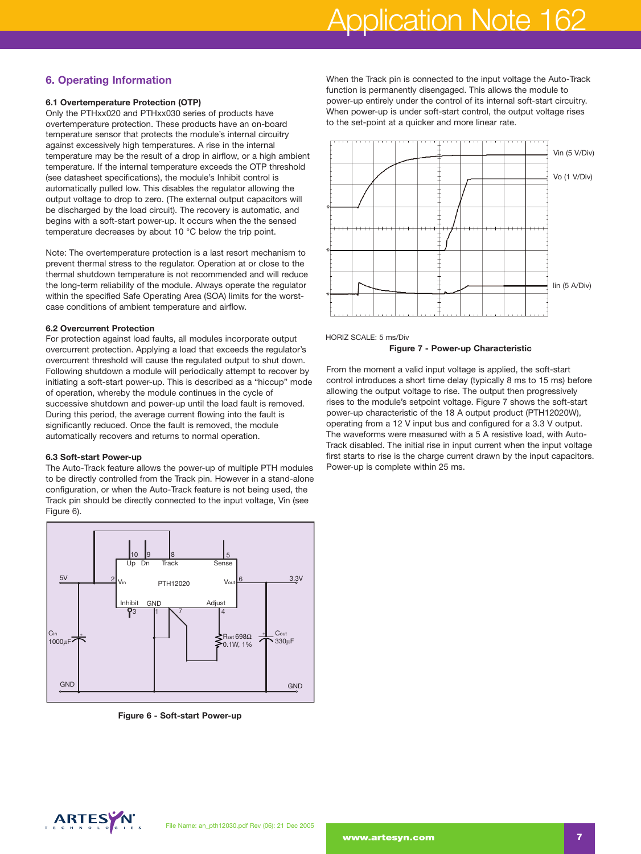# Application Note 162

# **6. Operating Information**

# **6.1 Overtemperature Protection (OTP)**

Only the PTHxx020 and PTHxx030 series of products have overtemperature protection. These products have an on-board temperature sensor that protects the module's internal circuitry against excessively high temperatures. A rise in the internal temperature may be the result of a drop in airflow, or a high ambient temperature. If the internal temperature exceeds the OTP threshold (see datasheet specifications), the module's Inhibit control is automatically pulled low. This disables the regulator allowing the output voltage to drop to zero. (The external output capacitors will be discharged by the load circuit). The recovery is automatic, and begins with a soft-start power-up. It occurs when the the sensed temperature decreases by about 10 °C below the trip point.

Note: The overtemperature protection is a last resort mechanism to prevent thermal stress to the regulator. Operation at or close to the thermal shutdown temperature is not recommended and will reduce the long-term reliability of the module. Always operate the regulator within the specified Safe Operating Area (SOA) limits for the worstcase conditions of ambient temperature and airflow.

### **6.2 Overcurrent Protection**

For protection against load faults, all modules incorporate output overcurrent protection. Applying a load that exceeds the regulator's overcurrent threshold will cause the regulated output to shut down. Following shutdown a module will periodically attempt to recover by initiating a soft-start power-up. This is described as a "hiccup" mode of operation, whereby the module continues in the cycle of successive shutdown and power-up until the load fault is removed. During this period, the average current flowing into the fault is significantly reduced. Once the fault is removed, the module automatically recovers and returns to normal operation.

### **6.3 Soft-start Power-up**

The Auto-Track feature allows the power-up of multiple PTH modules to be directly controlled from the Track pin. However in a stand-alone configuration, or when the Auto-Track feature is not being used, the Track pin should be directly connected to the input voltage, Vin (see Figure 6).



**Figure 6 - Soft-start Power-up**

When the Track pin is connected to the input voltage the Auto-Track function is permanently disengaged. This allows the module to power-up entirely under the control of its internal soft-start circuitry. When power-up is under soft-start control, the output voltage rises to the set-point at a quicker and more linear rate.





From the moment a valid input voltage is applied, the soft-start control introduces a short time delay (typically 8 ms to 15 ms) before allowing the output voltage to rise. The output then progressively rises to the module's setpoint voltage. Figure 7 shows the soft-start power-up characteristic of the 18 A output product (PTH12020W), operating from a 12 V input bus and configured for a 3.3 V output. The waveforms were measured with a 5 A resistive load, with Auto-Track disabled. The initial rise in input current when the input voltage first starts to rise is the charge current drawn by the input capacitors. Power-up is complete within 25 ms.

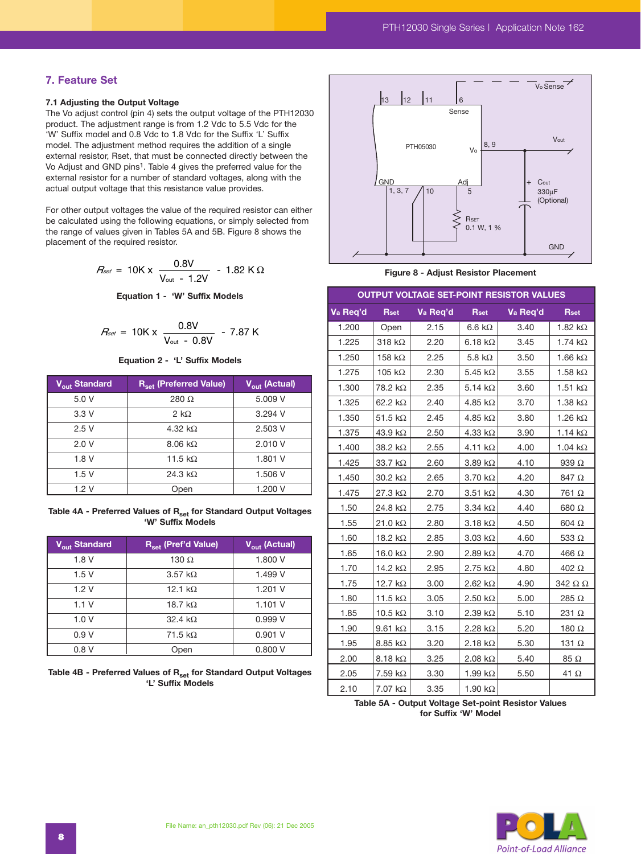# **7. Feature Set**

### **7.1 Adjusting the Output Voltage**

The Vo adjust control (pin 4) sets the output voltage of the PTH12030 product. The adjustment range is from 1.2 Vdc to 5.5 Vdc for the 'W' Suffix model and 0.8 Vdc to 1.8 Vdc for the Suffix 'L' Suffix model. The adjustment method requires the addition of a single external resistor, Rset, that must be connected directly between the Vo Adjust and GND pins1. Table 4 gives the preferred value for the external resistor for a number of standard voltages, along with the actual output voltage that this resistance value provides. djustment method require<br>tor, Rset, that must be constant tor, Rset, that must be constant<br>d GND pins<sup>1</sup>. Table 4 give<br>tor for a number of stand<br>voltage that this resistan<br>put voltages the value of<br>l using the following e or the addition computed the addition computed the connected directly<br>
Show the preferred<br>
Show the preferred<br>
Show the preferred<br>
Show the required responsive value of the required responsion<br>
Show the Show that the show

For other output voltages the value of the required resistor can either be calculated using the following equations, or simply selected from the range of values given in Tables 5A and 5B. Figure 8 shows the placement of the required resistor. ut voltages the value of the value of the value of the value spiven in Tables 5A and the required resistor.<br>  $R_{\text{set}} = 10 \text{K} \times \frac{0.8 \text{V}}{\text{V}_{\text{out}} - 1.2 \text{V}}$ <br> **Equation 1 - 'W' Su**<br>  $R_{\text{set}} = 10 \text{K} \times \frac{0.8 \text{V}}{\text{V}_{\$ value of the required resistang equations, or simply s<br>bles 5A and 5B. Figure 8<br>stor.<br> $0.8V$  - 1.82 K s<br>- 'W' Suffix Models<br>- 'W' Suffix Models<br>- 'L' Suffix Models

$$
R_{\text{set}} = 10 \text{K} \times \frac{0.8 \text{V}}{\text{V}_{\text{out}} - 1.2 \text{V}} - 1.82 \text{ K} \Omega
$$

**Equation 1 - 'W' Suffix Models** 

$$
R_{\text{set}} = 10 \text{K} \times \frac{0.8 \text{V}}{\text{V}_{\text{out}} - 0.8 \text{V}} - 7.87 \text{ K}
$$

**Equation 2 - 'L' Suffix Models**

| V <sub>out</sub> Standard | R <sub>set</sub> (Preferred Value) | $V_{\text{out}}$ (Actual) |
|---------------------------|------------------------------------|---------------------------|
| 5.0V                      | 280 $\Omega$                       | 5.009 V                   |
| 3.3V                      | 2 k $\Omega$                       | $3.294$ V                 |
| 2.5V                      | 4.32 k $\Omega$                    | 2.503 V                   |
| 2.0V                      | $8.06 \text{ k}\Omega$             | 2.010 V                   |
| 1.8V                      | 11.5 k $\Omega$                    | 1.801 V                   |
| 1.5V                      | 24.3 k $\Omega$                    | 1.506 V                   |
| 1.2V                      | Open                               | 1.200 V                   |

Table 4A - Preferred Values of R<sub>set</sub> for Standard Output Voltages **'W' Suffix Models**

| V <sub>out</sub> Standard | R <sub>set</sub> (Pref'd Value) | $V_{\text{out}}$ (Actual) |
|---------------------------|---------------------------------|---------------------------|
| 1.8V                      | 130 $\Omega$                    | 1.800 V                   |
| 1.5V                      | 3.57 k $\Omega$                 | 1.499 V                   |
| 1.2V                      | 12.1 $k\Omega$                  | 1.201 V                   |
| 1.1V                      | 18.7 k $\Omega$                 | 1.101V                    |
| 1.0V                      | 32.4 $k\Omega$                  | 0.999V                    |
| 0.9 V                     | 71.5 k $\Omega$                 | 0.901V                    |
| 0.8V                      | Open                            | 0.800V                    |

| Table 4B - Preferred Values of R <sub>set</sub> for Standard Output Voltages |  |
|------------------------------------------------------------------------------|--|
| 'L' Suffix Models                                                            |  |



**Figure 8 - Adjust Resistor Placement**

# **OUTPUT VOLTAGE SET-POINT RESISTOR VALUES**

| Va Req'd | <b>Rset</b>               | Va Req'd | <b>Rset</b>            | Va Req'd | <b>Rset</b>    |
|----------|---------------------------|----------|------------------------|----------|----------------|
| 1.200    | Open                      | 2.15     | 6.6 k $\Omega$         | 3.40     | 1.82 $k\Omega$ |
| 1.225    | 318 $k\Omega$             | 2.20     | 6.18 $k\Omega$         | 3.45     | 1.74 $k\Omega$ |
| 1.250    | 158 k $\Omega$            | 2.25     | 5.8 $k\Omega$          | 3.50     | 1.66 $k\Omega$ |
| 1.275    | 105 k $\Omega$            | 2.30     | $5.45\;k\Omega$        | 3.55     | 1.58 $k\Omega$ |
| 1.300    | 78.2 kΩ                   | 2.35     | 5.14 $k\Omega$         | 3.60     | 1.51 $k\Omega$ |
| 1.325    | 62.2 $k\Omega$            | 2.40     | 4.85 $k\Omega$         | 3.70     | 1.38 $k\Omega$ |
| 1.350    | 51.5 $k\Omega$            | 2.45     | 4.85 $k\Omega$         | 3.80     | 1.26 $k\Omega$ |
| 1.375    | 43.9 $k\Omega$            | 2.50     | 4.33 $k\Omega$         | 3.90     | 1.14 $k\Omega$ |
| 1.400    | 38.2 kΩ                   | 2.55     | 4.11 $k\Omega$         | 4.00     | 1.04 $k\Omega$ |
| 1.425    | 33.7 $k\Omega$            | 2.60     | $3.89 k\Omega$         | 4.10     | 939 $\Omega$   |
| 1.450    | $30.2 \; k\Omega$         | 2.65     | $3.70 \text{ k}\Omega$ | 4.20     | 847 Ω          |
| 1.475    | $27.3 k\Omega$            | 2.70     | $3.51 k\Omega$         | 4.30     | 761 Ω          |
| 1.50     | 24.8 kΩ                   | 2.75     | 3.34 $k\Omega$         | 4.40     | 680 Ω          |
| 1.55     | 21.0 kΩ                   | 2.80     | $3.18 k\Omega$         | 4.50     | $604 \Omega$   |
| 1.60     | 18.2 $k\Omega$            | 2.85     | $3.03 k\Omega$         | 4.60     | 533 $\Omega$   |
| 1.65     | 16.0 $k\Omega$            | 2.90     | 2.89 $k\Omega$         | 4.70     | 466 $\Omega$   |
| 1.70     | 14.2 kΩ                   | 2.95     | 2.75 k $\Omega$        | 4.80     | 402 $\Omega$   |
| 1.75     | 12.7 $k\Omega$            | 3.00     | 2.62 k $\Omega$        | 4.90     | 342 $\Omega$   |
| 1.80     | 11.5 k $\Omega$           | 3.05     | 2.50 k $\Omega$        | 5.00     | 285 $\Omega$   |
| 1.85     | 10.5 k $\Omega$           | 3.10     | 2.39 k $\Omega$        | 5.10     | 231 $\Omega$   |
| 1.90     | $9.61 k\Omega$            | 3.15     | 2.28 k $\Omega$        | 5.20     | 180 $\Omega$   |
| 1.95     | $8.85 \text{ k}\Omega$    | 3.20     | 2.18 k $\Omega$        | 5.30     | 131 $\Omega$   |
| 2.00     | 8.18 $k\Omega$            | 3.25     | 2.08 $k\Omega$         | 5.40     | $85\ \Omega$   |
| 2.05     | $7.59 \text{ k}\Omega$    | 3.30     | 1.99 $k\Omega$         | 5.50     | 41 $\Omega$    |
| 2.10     | $7.07\; \mathrm{k}\Omega$ | 3.35     | 1.90 k $\Omega$        |          |                |

**Table 5A - Output Voltage Set-point Resistor Values for Suffix 'W' Model**

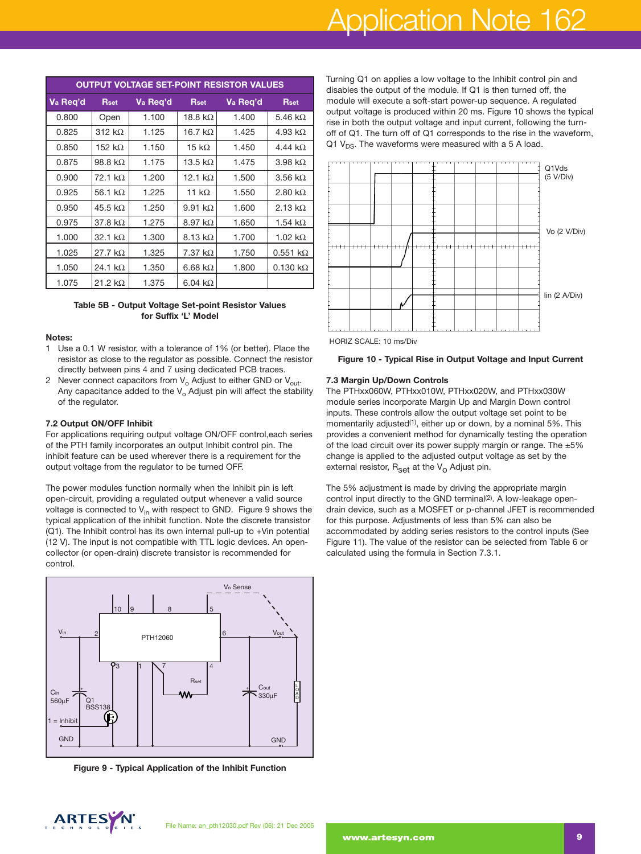# Application Note 162

| <b>OUTPUT VOLTAGE SET-POINT RESISTOR VALUES</b> |                 |          |                 |          |                        |  |
|-------------------------------------------------|-----------------|----------|-----------------|----------|------------------------|--|
| Va Req'd                                        | <b>Rset</b>     | Va Reg'd | <b>Rset</b>     | Va Reg'd | <b>Rset</b>            |  |
| 0.800                                           | Open            | 1.100    | 18.8 k $\Omega$ | 1.400    | 5.46 k $\Omega$        |  |
| 0.825                                           | 312 k $\Omega$  | 1.125    | 16.7 k $\Omega$ | 1.425    | 4.93 k $\Omega$        |  |
| 0.850                                           | 152 k $\Omega$  | 1.150    | 15 k $\Omega$   | 1.450    | 4.44 k $\Omega$        |  |
| 0.875                                           | 98.8 k $\Omega$ | 1.175    | 13.5 k $\Omega$ | 1.475    | 3.98 $k\Omega$         |  |
| 0.900                                           | 72.1 k $\Omega$ | 1.200    | 12.1 k $\Omega$ | 1.500    | $3.56 \text{ k}\Omega$ |  |
| 0.925                                           | 56.1 k $\Omega$ | 1.225    | 11 k $\Omega$   | 1.550    | 2.80 k $\Omega$        |  |
| 0.950                                           | 45.5 k $\Omega$ | 1.250    | 9.91 k $\Omega$ | 1.600    | 2.13 k $\Omega$        |  |
| 0.975                                           | 37.8 $k\Omega$  | 1.275    | 8.97 k $\Omega$ | 1.650    | 1.54 k $\Omega$        |  |
| 1.000                                           | 32.1 k $\Omega$ | 1.300    | $8.13 k\Omega$  | 1.700    | 1.02 $k\Omega$         |  |
| 1.025                                           | 27.7 $k\Omega$  | 1.325    | 7.37 $k\Omega$  | 1.750    | $0.551 k\Omega$        |  |
| 1.050                                           | 24.1 k $\Omega$ | 1.350    | 6.68 $k\Omega$  | 1.800    | $0.130 k\Omega$        |  |
| 1.075                                           | 21.2 k $\Omega$ | 1.375    | 6.04 k $\Omega$ |          |                        |  |

### **Table 5B - Output Voltage Set-point Resistor Values for Suffix 'L' Model**

### **Notes:**

- 1 Use a 0.1 W resistor, with a tolerance of 1% (or better). Place the resistor as close to the regulator as possible. Connect the resistor directly between pins 4 and 7 using dedicated PCB traces.
- 2 Never connect capacitors from  $V_0$  Adjust to either GND or  $V_{\text{out}}$ . Any capacitance added to the  $V_0$  Adjust pin will affect the stability of the regulator.

### **7.2 Output ON/OFF Inhibit**

For applications requiring output voltage ON/OFF control,each series of the PTH family incorporates an output Inhibit control pin. The inhibit feature can be used wherever there is a requirement for the output voltage from the regulator to be turned OFF.

The power modules function normally when the Inhibit pin is left open-circuit, providing a regulated output whenever a valid source voltage is connected to  $V_{in}$  with respect to GND. Figure 9 shows the typical application of the inhibit function. Note the discrete transistor (Q1). The Inhibit control has its own internal pull-up to +Vin potential (12 V). The input is not compatible with TTL logic devices. An opencollector (or open-drain) discrete transistor is recommended for control.



**Figure 9 - Typical Application of the Inhibit Function**

Turning Q1 on applies a low voltage to the Inhibit control pin and disables the output of the module. If Q1 is then turned off, the module will execute a soft-start power-up sequence. A regulated output voltage is produced within 20 ms. Figure 10 shows the typical rise in both the output voltage and input current, following the turnoff of Q1. The turn off of Q1 corresponds to the rise in the waveform, Q1  $V_{DS}$ . The waveforms were measured with a 5 A load.



HORIZ SCALE: 10 ms/Div



### **7.3 Margin Up/Down Controls**

The PTHxx060W, PTHxx010W, PTHxx020W, and PTHxx030W module series incorporate Margin Up and Margin Down control inputs. These controls allow the output voltage set point to be momentarily adjusted<sup>(1)</sup>, either up or down, by a nominal 5%. This provides a convenient method for dynamically testing the operation of the load circuit over its power supply margin or range. The  $\pm 5\%$ change is applied to the adjusted output voltage as set by the external resistor,  $R_{\text{set}}$  at the  $V_{\Omega}$  Adjust pin.

The 5% adjustment is made by driving the appropriate margin control input directly to the GND terminal<sup>(2)</sup>. A low-leakage opendrain device, such as a MOSFET or p-channel JFET is recommended for this purpose. Adjustments of less than 5% can also be accommodated by adding series resistors to the control inputs (See Figure 11). The value of the resistor can be selected from Table 6 or calculated using the formula in Section 7.3.1.

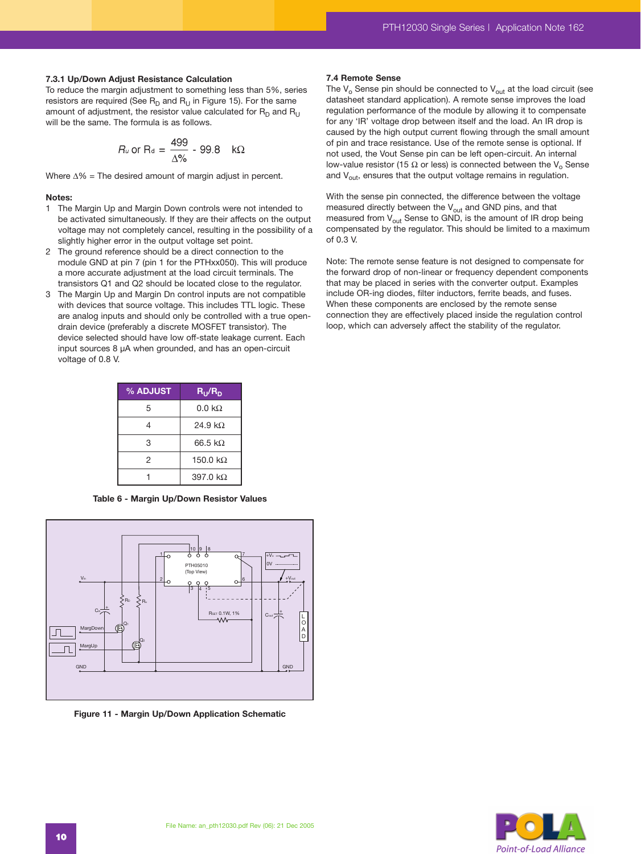### **7.3.1 Up/Down Adjust Resistance Calculation**

To reduce the margin adjustment to something less than 5%, series resistors are required (See  $R_D$  and  $R_U$  in Figure 15). For the same amount of adjustment, the resistor value calculated for  $R_D$  and  $R_{U}$ will be the same. The formula is as follows.

$$
R_u \text{ or } R_d = \frac{499}{\Delta\%} - 99.8 \quad k\Omega
$$

Where ∆% = The desired amount of margin adjust in percent.

### **Notes:**

- 1 The Margin Up and Margin Down controls were not intended to be activated simultaneously. If they are their affects on the output voltage may not completely cancel, resulting in the possibility of a slightly higher error in the output voltage set point.
- 2 The ground reference should be a direct connection to the module GND at pin 7 (pin 1 for the PTHxx050). This will produce a more accurate adjustment at the load circuit terminals. The transistors Q1 and Q2 should be located close to the regulator.
- 3 The Margin Up and Margin Dn control inputs are not compatible with devices that source voltage. This includes TTL logic. These are analog inputs and should only be controlled with a true opendrain device (preferably a discrete MOSFET transistor). The device selected should have low off-state leakage current. Each input sources 8 µA when grounded, and has an open-circuit voltage of 0.8 V.

| % ADJUST | $R_{\rm U}/R_{\rm D}$ |
|----------|-----------------------|
| 5        | $0.0 \text{ k}\Omega$ |
| 4        | 24.9 k <sub>Q</sub>   |
| 3        | 66.5 kQ               |
| 2        | 150.0 k $\Omega$      |
|          | 397.0 $k\Omega$       |

**Table 6 - Margin Up/Down Resistor Values**



**Figure 11 - Margin Up/Down Application Schematic**

#### **7.4 Remote Sense**

The  $V_0$  Sense pin should be connected to  $V_{out}$  at the load circuit (see datasheet standard application). A remote sense improves the load regulation performance of the module by allowing it to compensate for any 'IR' voltage drop between itself and the load. An IR drop is caused by the high output current flowing through the small amount of pin and trace resistance. Use of the remote sense is optional. If not used, the Vout Sense pin can be left open-circuit. An internal low-value resistor (15 Ω or less) is connected between the  $V_0$  Sense and  $V_{\text{out}}$ , ensures that the output voltage remains in regulation.

With the sense pin connected, the difference between the voltage measured directly between the  $V_{\text{out}}$  and GND pins, and that measured from  $V_{\text{out}}$  Sense to GND, is the amount of IR drop being compensated by the regulator. This should be limited to a maximum of 0.3 V.

Note: The remote sense feature is not designed to compensate for the forward drop of non-linear or frequency dependent components that may be placed in series with the converter output. Examples include OR-ing diodes, filter inductors, ferrite beads, and fuses. When these components are enclosed by the remote sense connection they are effectively placed inside the regulation control loop, which can adversely affect the stability of the regulator.

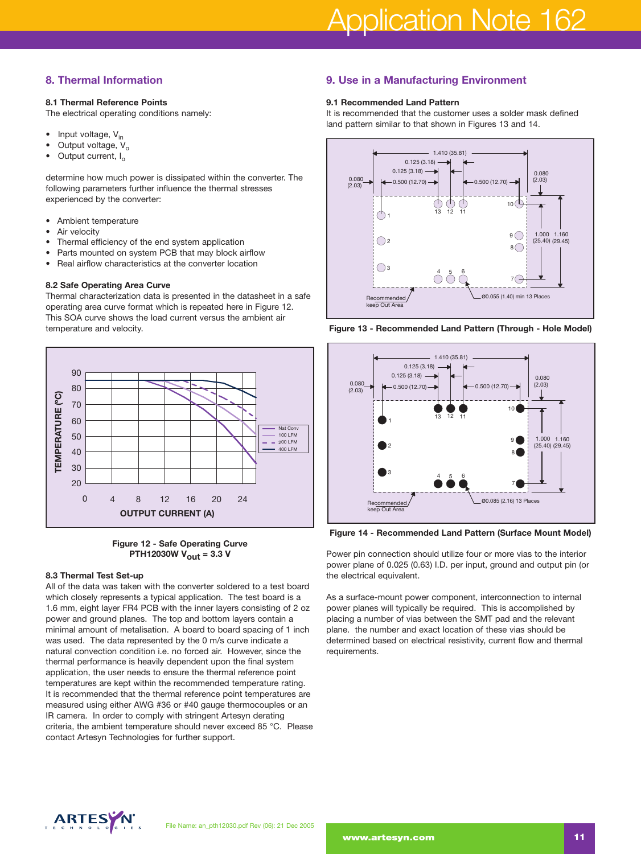# **8. Thermal Information**

# **8.1 Thermal Reference Points**

The electrical operating conditions namely:

- Input voltage,  $V_{in}$
- Output voltage,  $V_o$ <br>• Output current L
- Output current, I<sub>o</sub>

determine how much power is dissipated within the converter. The following parameters further influence the thermal stresses experienced by the converter:

- Ambient temperature
- Air velocity
- Thermal efficiency of the end system application
- Parts mounted on system PCB that may block airflow
- Real airflow characteristics at the converter location

### **8.2 Safe Operating Area Curve**

Thermal characterization data is presented in the datasheet in a safe operating area curve format which is repeated here in Figure 12. This SOA curve shows the load current versus the ambient air temperature and velocity.



# **Figure 12 - Safe Operating Curve PTH12030W Vout = 3.3 V**

### **8.3 Thermal Test Set-up**

All of the data was taken with the converter soldered to a test board which closely represents a typical application. The test board is a 1.6 mm, eight layer FR4 PCB with the inner layers consisting of 2 oz power and ground planes. The top and bottom layers contain a minimal amount of metalisation. A board to board spacing of 1 inch was used. The data represented by the 0 m/s curve indicate a natural convection condition i.e. no forced air. However, since the thermal performance is heavily dependent upon the final system application, the user needs to ensure the thermal reference point temperatures are kept within the recommended temperature rating. It is recommended that the thermal reference point temperatures are measured using either AWG #36 or #40 gauge thermocouples or an IR camera. In order to comply with stringent Artesyn derating criteria, the ambient temperature should never exceed 85 °C. Please contact Artesyn Technologies for further support.

# **9. Use in a Manufacturing Environment**

### **9.1 Recommended Land Pattern**

It is recommended that the customer uses a solder mask defined land pattern similar to that shown in Figures 13 and 14.



**Figure 13 - Recommended Land Pattern (Through - Hole Model)**



**Figure 14 - Recommended Land Pattern (Surface Mount Model)**

Power pin connection should utilize four or more vias to the interior power plane of 0.025 (0.63) I.D. per input, ground and output pin (or the electrical equivalent.

As a surface-mount power component, interconnection to internal power planes will typically be required. This is accomplished by placing a number of vias between the SMT pad and the relevant plane. the number and exact location of these vias should be determined based on electrical resistivity, current flow and thermal requirements.

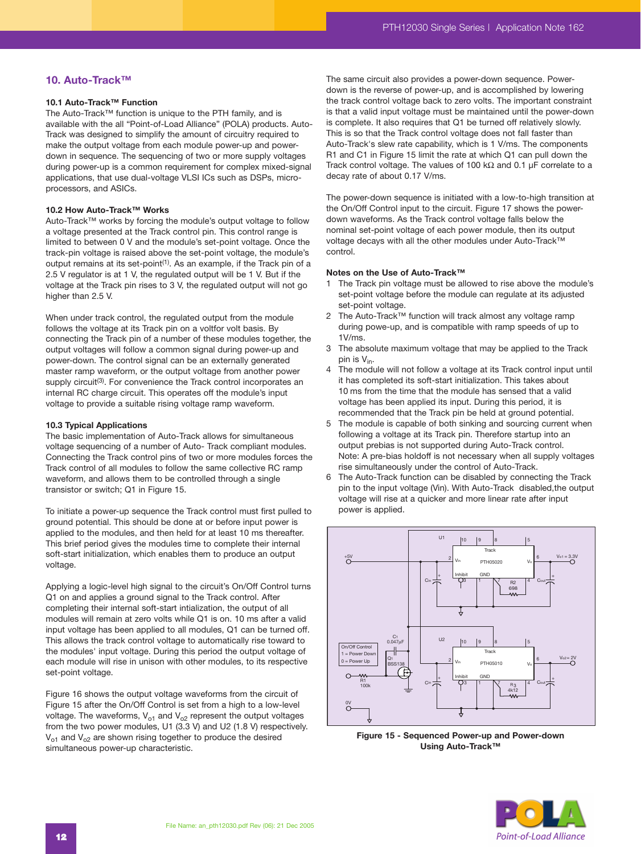# **10. Auto-Track™**

### **10.1 Auto-Track™ Function**

The Auto-Track™ function is unique to the PTH family, and is available with the all "Point-of-Load Alliance" (POLA) products. Auto-Track was designed to simplify the amount of circuitry required to make the output voltage from each module power-up and powerdown in sequence. The sequencing of two or more supply voltages during power-up is a common requirement for complex mixed-signal applications, that use dual-voltage VLSI ICs such as DSPs, microprocessors, and ASICs.

### **10.2 How Auto-Track™ Works**

Auto-Track™ works by forcing the module's output voltage to follow a voltage presented at the Track control pin. This control range is limited to between 0 V and the module's set-point voltage. Once the track-pin voltage is raised above the set-point voltage, the module's output remains at its set-point<sup>(1)</sup>. As an example, if the Track pin of a 2.5 V regulator is at 1 V, the regulated output will be 1 V. But if the voltage at the Track pin rises to 3 V, the regulated output will not go higher than 2.5 V.

When under track control, the regulated output from the module follows the voltage at its Track pin on a voltfor volt basis. By connecting the Track pin of a number of these modules together, the output voltages will follow a common signal during power-up and power-down. The control signal can be an externally generated master ramp waveform, or the output voltage from another power supply circuit<sup>(3)</sup>. For convenience the Track control incorporates an internal RC charge circuit. This operates off the module's input voltage to provide a suitable rising voltage ramp waveform.

### **10.3 Typical Applications**

The basic implementation of Auto-Track allows for simultaneous voltage sequencing of a number of Auto- Track compliant modules. Connecting the Track control pins of two or more modules forces the Track control of all modules to follow the same collective RC ramp waveform, and allows them to be controlled through a single transistor or switch; Q1 in Figure 15.

To initiate a power-up sequence the Track control must first pulled to ground potential. This should be done at or before input power is applied to the modules, and then held for at least 10 ms thereafter. This brief period gives the modules time to complete their internal soft-start initialization, which enables them to produce an output voltage.

Applying a logic-level high signal to the circuit's On/Off Control turns Q1 on and applies a ground signal to the Track control. After completing their internal soft-start intialization, the output of all modules will remain at zero volts while Q1 is on. 10 ms after a valid input voltage has been applied to all modules, Q1 can be turned off. This allows the track control voltage to automatically rise toward to the modules' input voltage. During this period the output voltage of each module will rise in unison with other modules, to its respective set-point voltage.

Figure 16 shows the output voltage waveforms from the circuit of Figure 15 after the On/Off Control is set from a high to a low-level voltage. The waveforms,  $V_{o1}$  and  $V_{o2}$  represent the output voltages from the two power modules, U1 (3.3 V) and U2 (1.8 V) respectively.  $V_{o1}$  and  $V_{o2}$  are shown rising together to produce the desired simultaneous power-up characteristic.

The same circuit also provides a power-down sequence. Powerdown is the reverse of power-up, and is accomplished by lowering the track control voltage back to zero volts. The important constraint is that a valid input voltage must be maintained until the power-down is complete. It also requires that Q1 be turned off relatively slowly. This is so that the Track control voltage does not fall faster than Auto-Track's slew rate capability, which is 1 V/ms. The components R1 and C1 in Figure 15 limit the rate at which Q1 can pull down the Track control voltage. The values of 100 kΩ and 0.1 µF correlate to a decay rate of about 0.17 V/ms.

The power-down sequence is initiated with a low-to-high transition at the On/Off Control input to the circuit. Figure 17 shows the powerdown waveforms. As the Track control voltage falls below the nominal set-point voltage of each power module, then its output voltage decays with all the other modules under Auto-Track™ control.

### **Notes on the Use of Auto-Track™**

- 1 The Track pin voltage must be allowed to rise above the module's set-point voltage before the module can regulate at its adjusted set-point voltage.
- 2 The Auto-Track™ function will track almost any voltage ramp during powe-up, and is compatible with ramp speeds of up to 1V/ms.
- 3 The absolute maximum voltage that may be applied to the Track pin is  $V_{in}$ .
- 4 The module will not follow a voltage at its Track control input until it has completed its soft-start initialization. This takes about 10 ms from the time that the module has sensed that a valid voltage has been applied its input. During this period, it is recommended that the Track pin be held at ground potential.
- 5 The module is capable of both sinking and sourcing current when following a voltage at its Track pin. Therefore startup into an output prebias is not supported during Auto-Track control. Note: A pre-bias holdoff is not necessary when all supply voltages rise simultaneously under the control of Auto-Track.
- 6 The Auto-Track function can be disabled by connecting the Track pin to the input voltage (Vin). With Auto-Track disabled,the output voltage will rise at a quicker and more linear rate after input power is applied.



**Figure 15 - Sequenced Power-up and Power-down Using Auto-Track™**